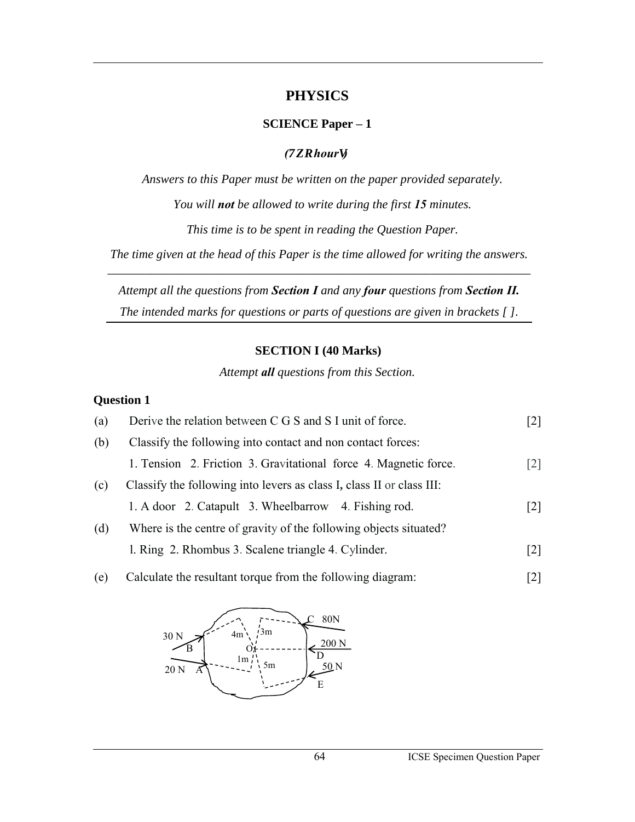## **PHYSICS**

### **SCIENCE Paper – 1**

## *(Vy q houru)*

*Answers to this Paper must be written on the paper provided separately. You will not be allowed to write during the first 15 minutes.* 

*This time is to be spent in reading the Question Paper.* 

*The time given at the head of this Paper is the time allowed for writing the answers. \_\_\_\_\_\_\_\_\_\_\_\_\_\_\_\_\_\_\_\_\_\_\_\_\_\_\_\_\_\_\_\_\_\_\_\_\_\_\_\_\_\_\_\_\_\_\_\_\_\_\_\_\_\_\_\_\_\_\_\_\_\_\_\_\_\_\_\_* 

*Attempt all the questions from Section I and any four questions from Section II. The intended marks for questions or parts of questions are given in brackets [ ].* 

## **SECTION I (40 Marks)**

*Attempt all questions from this Section.* 

## **Question 1**

| Derive the relation between C G S and S I unit of force.              | [2]               |
|-----------------------------------------------------------------------|-------------------|
| Classify the following into contact and non contact forces:           |                   |
| 1. Tension 2. Friction 3. Gravitational force 4. Magnetic force.      | $\lceil 2 \rceil$ |
| Classify the following into levers as class I, class II or class III: |                   |
| 1. A door 2. Catapult 3. Wheelbarrow 4. Fishing rod.                  | $\lceil 2 \rceil$ |
| Where is the centre of gravity of the following objects situated?     |                   |
| 1. Ring 2. Rhombus 3. Scalene triangle 4. Cylinder.                   | [2]               |
|                                                                       |                   |

(e) Calculate the resultant torque from the following diagram: [2]

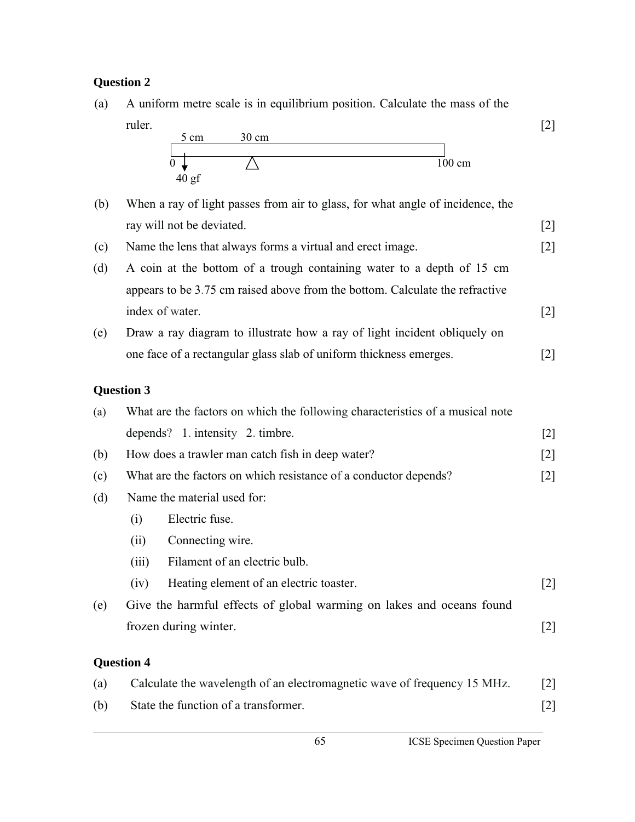## **Question 2**



## **Question 3**

| (a) | What are the factors on which the following characteristics of a musical note |                                                                          |       |  |
|-----|-------------------------------------------------------------------------------|--------------------------------------------------------------------------|-------|--|
|     |                                                                               | depends? 1. intensity 2. timbre.                                         | $[2]$ |  |
| (b) |                                                                               | How does a trawler man catch fish in deep water?                         | $[2]$ |  |
| (c) | What are the factors on which resistance of a conductor depends?              | $[2]$                                                                    |       |  |
| (d) | Name the material used for:                                                   |                                                                          |       |  |
|     | (i)                                                                           | Electric fuse.                                                           |       |  |
|     | (ii)                                                                          | Connecting wire.                                                         |       |  |
|     | (iii)                                                                         | Filament of an electric bulb.                                            |       |  |
|     | (iv)                                                                          | Heating element of an electric toaster.                                  | $[2]$ |  |
| (e) | Give the harmful effects of global warming on lakes and oceans found          |                                                                          |       |  |
|     | frozen during winter.                                                         |                                                                          | $[2]$ |  |
|     | <b>Question 4</b>                                                             |                                                                          |       |  |
|     |                                                                               |                                                                          |       |  |
| (a) |                                                                               | Calculate the wavelength of an electromagnetic wave of frequency 15 MHz. | $[2]$ |  |

(b) State the function of a transformer. [2]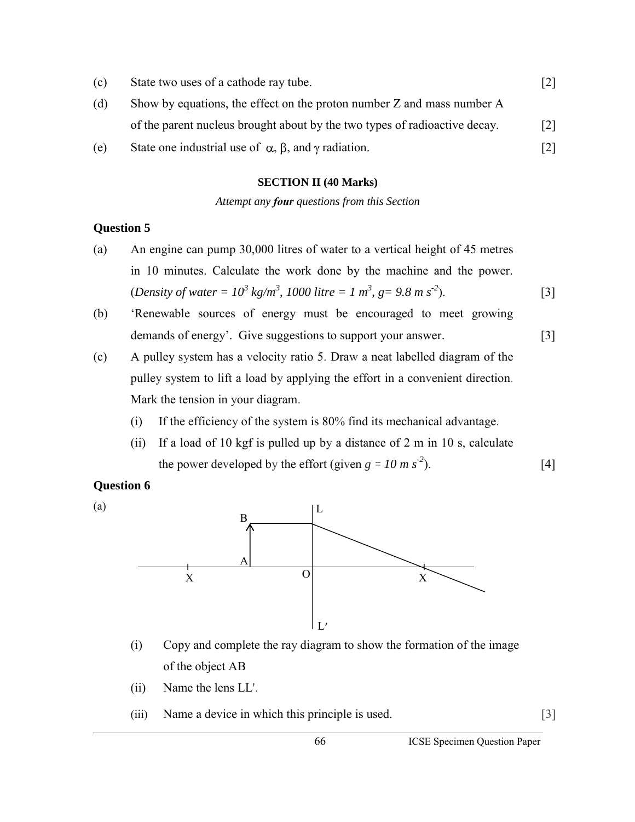| (c) | State two uses of a cathode ray tube.                                      |                   |
|-----|----------------------------------------------------------------------------|-------------------|
| (d) | Show by equations, the effect on the proton number Z and mass number A     |                   |
|     | of the parent nucleus brought about by the two types of radioactive decay. | $\lceil 2 \rceil$ |
| (e) | State one industrial use of $\alpha$ , $\beta$ , and $\gamma$ radiation.   | $\lceil 2 \rceil$ |

#### **SECTION II (40 Marks)**

*Attempt any four questions from this Section*

#### **Question 5**

- (a) An engine can pump 30,000 litres of water to a vertical height of 45 metres in 10 minutes. Calculate the work done by the machine and the power.  $(Density of water = 10<sup>3</sup> kg/m<sup>3</sup>, 1000 litre = 1 m<sup>3</sup>, g = 9.8 m s<sup>-2</sup>).$  [3]
- (b) 'Renewable sources of energy must be encouraged to meet growing demands of energy'. Give suggestions to support your answer. [3]
- (c) A pulley system has a velocity ratio 5. Draw a neat labelled diagram of the pulley system to lift a load by applying the effort in a convenient direction. Mark the tension in your diagram.
	- (i) If the efficiency of the system is 80% find its mechanical advantage.
	- (ii) If a load of 10 kgf is pulled up by a distance of 2 m in 10 s, calculate the power developed by the effort (given  $g = 10 \text{ m s}^2$ ). [4]

## **Question 6**

(a)



- (i) Copy and complete the ray diagram to show the formation of the image of the object AB
- (ii) Name the lens LL'.
- (iii) Name a device in which this principle is used. [3]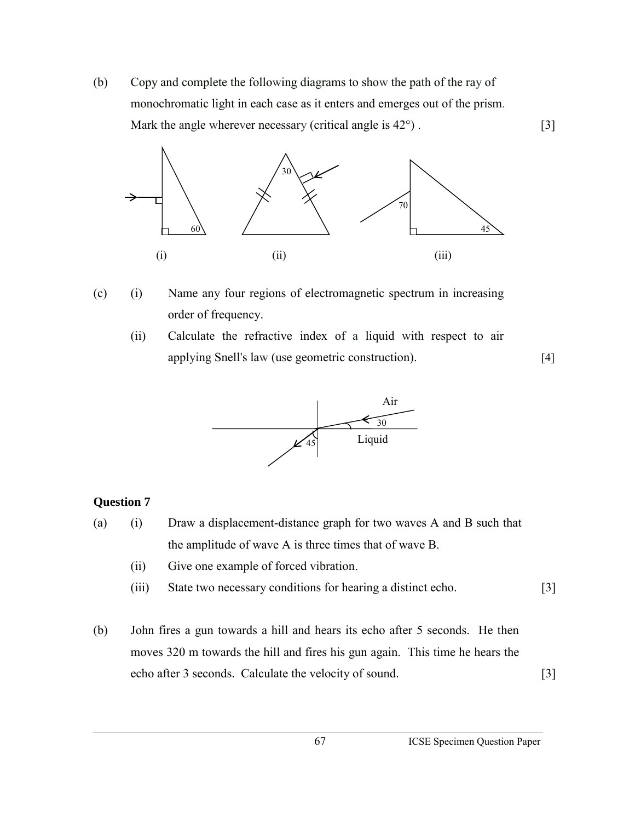(b) Copy and complete the following diagrams to show the path of the ray of monochromatic light in each case as it enters and emerges out of the prism. Mark the angle wherever necessary (critical angle is  $42^{\circ}$ ). [3]



- (c) (i) Name any four regions of electromagnetic spectrum in increasing order of frequency.
	- (ii) Calculate the refractive index of a liquid with respect to air applying Snell's law (use geometric construction). [4]



## **Question 7**

- (a) (i) Draw a displacement-distance graph for two waves A and B such that the amplitude of wave A is three times that of wave B.
	- (ii) Give one example of forced vibration.
	- (iii) State two necessary conditions for hearing a distinct echo. [3]
- (b) John fires a gun towards a hill and hears its echo after 5 seconds. He then moves 320 m towards the hill and fires his gun again. This time he hears the echo after 3 seconds. Calculate the velocity of sound. [3]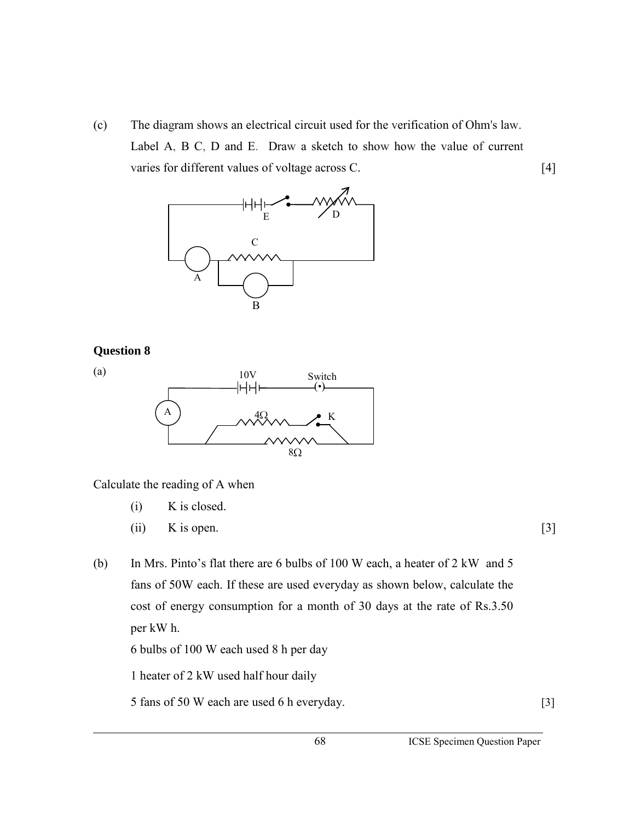(c) The diagram shows an electrical circuit used for the verification of Ohm's law. Label A, B C, D and E. Draw a sketch to show how the value of current varies for different values of voltage across C. [4]



## **Question 8**

(a)



Calculate the reading of A when

- (i) K is closed.
- (ii) K is open.  $[3]$

(b) In Mrs. Pinto's flat there are 6 bulbs of 100 W each, a heater of 2 kW and 5 fans of 50W each. If these are used everyday as shown below, calculate the cost of energy consumption for a month of 30 days at the rate of Rs.3.50 per kW h.

6 bulbs of 100 W each used 8 h per day

1 heater of 2 kW used half hour daily

5 fans of 50 W each are used 6 h everyday. [3]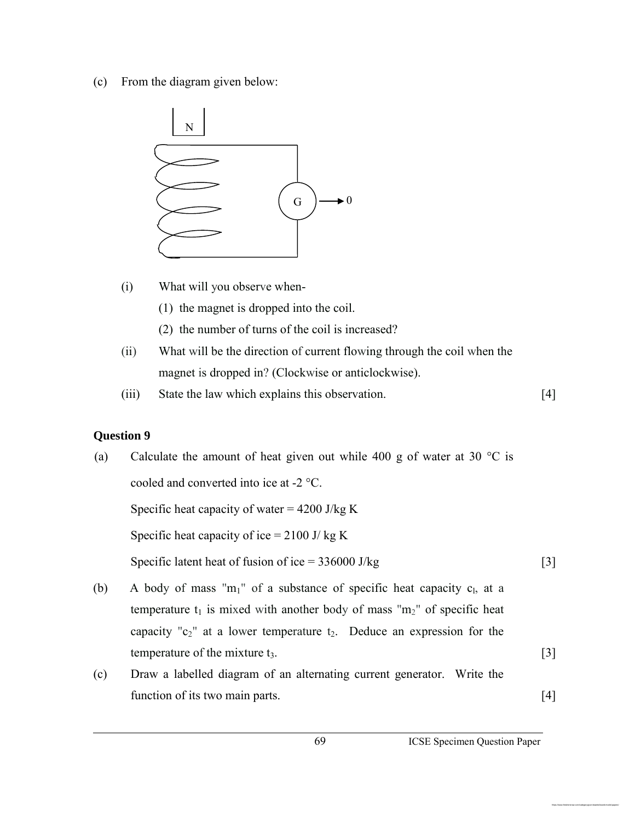(c) From the diagram given below:



- (i) What will you observe when-
	- (1) the magnet is dropped into the coil.
	- (2) the number of turns of the coil is increased?
- (ii) What will be the direction of current flowing through the coil when the magnet is dropped in? (Clockwise or anticlockwise).
- (iii) State the law which explains this observation. [4]

# **Question 9**

| (a) | Calculate the amount of heat given out while 400 g of water at 30 $^{\circ}$ C is |   |  |
|-----|-----------------------------------------------------------------------------------|---|--|
|     | cooled and converted into ice at -2 °C.                                           |   |  |
|     | Specific heat capacity of water = $4200$ J/kg K                                   |   |  |
|     | Specific heat capacity of ice = $2100$ J/ kg K                                    |   |  |
|     | Specific latent heat of fusion of ice = $336000$ J/kg                             | 3 |  |
| (b) | A body of mass " $m_1$ " of a substance of specific heat capacity $c_1$ , at a    |   |  |
|     |                                                                                   |   |  |

- temperature  $t_1$  is mixed with another body of mass " $m_2$ " of specific heat capacity " $c_2$ " at a lower temperature  $t_2$ . Deduce an expression for the temperature of the mixture  $t_3$ .  $[3]$
- (c) Draw a labelled diagram of an alternating current generator. Write the function of its two main parts. [4]

https://www.freshersnow.com/category/govt-boards/board-model-papers/